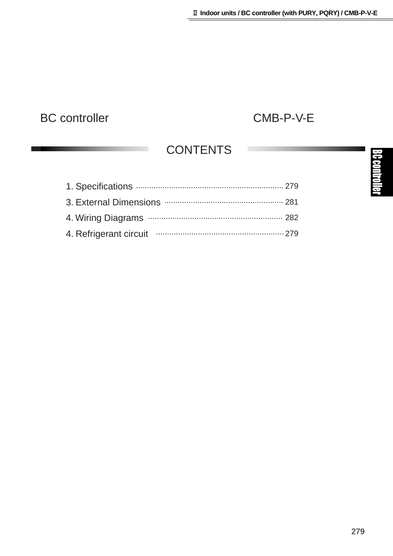# BC controller CMB-P-V-E

## **CONTENTS**

| 4. Refrigerant circuit manufacture and an argument of the contract of the contract of the Refrigerant Circuit |  |
|---------------------------------------------------------------------------------------------------------------|--|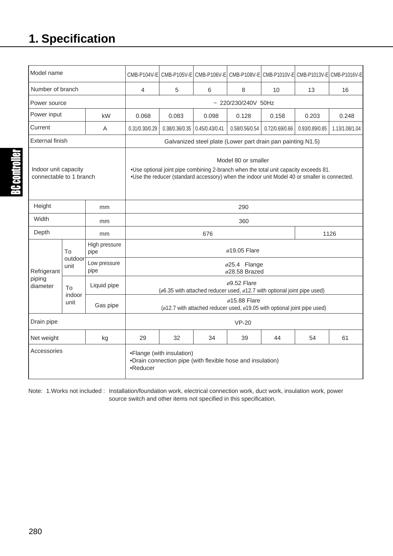# **1. Specification**

| Model name                                      |                      |                                                                                                                                                                                                                 |                                                                                                             |                |                |                |                |                | CMB-P104V-E CMB-P105V-E CMB-P106V-E CMB-P108V-E CMB-P1010V-E CMB-P1013V-E CMB-P1016V-E |
|-------------------------------------------------|----------------------|-----------------------------------------------------------------------------------------------------------------------------------------------------------------------------------------------------------------|-------------------------------------------------------------------------------------------------------------|----------------|----------------|----------------|----------------|----------------|----------------------------------------------------------------------------------------|
| Number of branch                                |                      | 4                                                                                                                                                                                                               | 5                                                                                                           | 6              | 8              | 10             | 13             | 16             |                                                                                        |
| Power source                                    |                      | $~220/230/240V$ 50Hz                                                                                                                                                                                            |                                                                                                             |                |                |                |                |                |                                                                                        |
| Power input<br>kW                               |                      | 0.068                                                                                                                                                                                                           | 0.083                                                                                                       | 0.098          | 0.128          | 0.158          | 0.203          | 0.248          |                                                                                        |
| Current<br>A                                    |                      | 0.31/0.30/0.29                                                                                                                                                                                                  | 0.38/0.36/0.35                                                                                              | 0.45/0.43/0.41 | 0.58/0.56/0.54 | 0.72/0.69/0.66 | 0.93/0.89/0.85 | 1.13/1.08/1.04 |                                                                                        |
| <b>External finish</b>                          |                      | Galvanized steel plate (Lower part drain pan painting N1.5)                                                                                                                                                     |                                                                                                             |                |                |                |                |                |                                                                                        |
| Indoor unit capacity<br>connectable to 1 branch |                      | Model 80 or smaller<br>.018 .Use optional joint pipe combining 2-branch when the total unit capacity exceeds 81<br>.Use the reducer (standard accessory) when the indoor unit Model 40 or smaller is connected. |                                                                                                             |                |                |                |                |                |                                                                                        |
| Height<br>mm                                    |                      | 290                                                                                                                                                                                                             |                                                                                                             |                |                |                |                |                |                                                                                        |
| Width<br>mm                                     |                      |                                                                                                                                                                                                                 | 360                                                                                                         |                |                |                |                |                |                                                                                        |
| Depth                                           |                      | mm                                                                                                                                                                                                              | 1126<br>676                                                                                                 |                |                |                |                |                |                                                                                        |
| Refrigerant<br>piping<br>diameter               | To                   | High pressure<br>pipe                                                                                                                                                                                           | $\phi$ 19.05 Flare                                                                                          |                |                |                |                |                |                                                                                        |
|                                                 | outdoor<br>unit      | Low pressure<br>pipe                                                                                                                                                                                            | $\varphi$ 25.4 Flange<br>$\phi$ 28.58 Brazed                                                                |                |                |                |                |                |                                                                                        |
|                                                 | To<br>indoor<br>unit | Liquid pipe                                                                                                                                                                                                     | $\phi$ 9.52 Flare<br>( $\phi$ 6.35 with attached reducer used, $\phi$ 12.7 with optional joint pipe used)   |                |                |                |                |                |                                                                                        |
|                                                 |                      | Gas pipe                                                                                                                                                                                                        | $\phi$ 15.88 Flare<br>( $\phi$ 12.7 with attached reducer used, $\phi$ 19.05 with optional joint pipe used) |                |                |                |                |                |                                                                                        |
| Drain pipe                                      |                      | $VP-20$                                                                                                                                                                                                         |                                                                                                             |                |                |                |                |                |                                                                                        |
| Net weight                                      |                      | kg                                                                                                                                                                                                              | 29                                                                                                          | 32             | 34             | 39             | 44             | 54             | 61                                                                                     |
| Accessories                                     |                      | •Flange (with insulation)<br>•Drain connection pipe (with flexible hose and insulation)<br>•Reducer                                                                                                             |                                                                                                             |                |                |                |                |                |                                                                                        |

Note: 1.Works not included : Installation/foundation work, electrical connection work, duct work, insulation work, power source switch and other items not specified in this specification.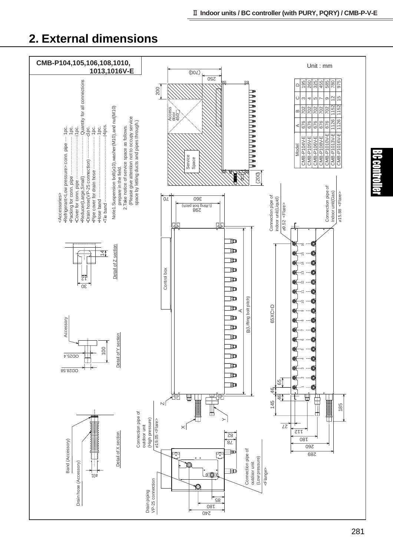### **2. External dimensions**

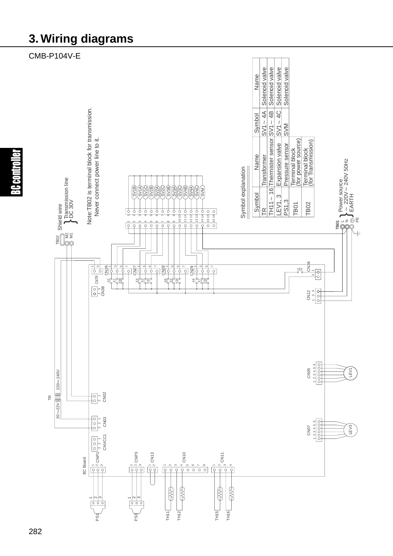### **3. Wiring diagrams**

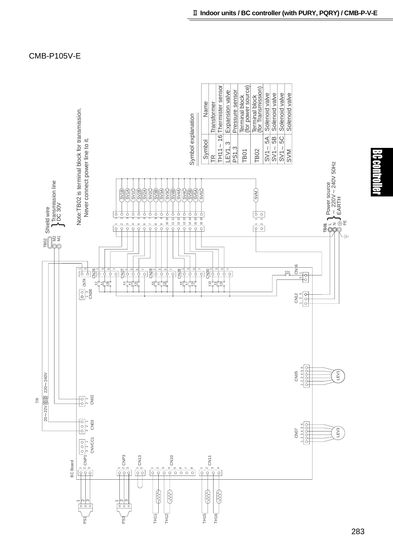

BC contro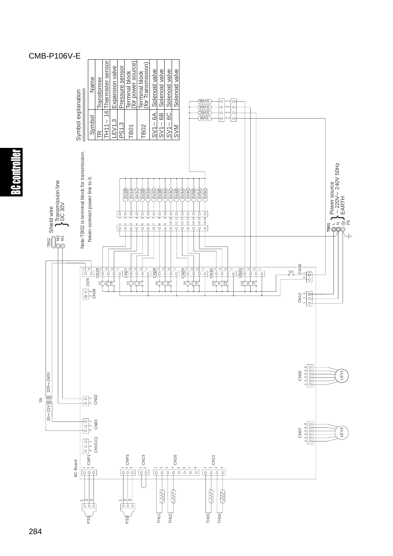### CMB-P106V-E



BC controller

#### 284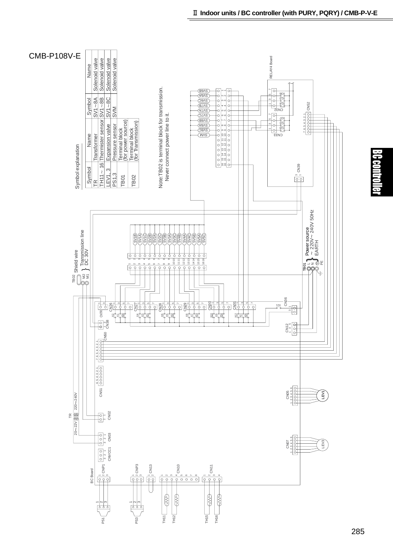

BC control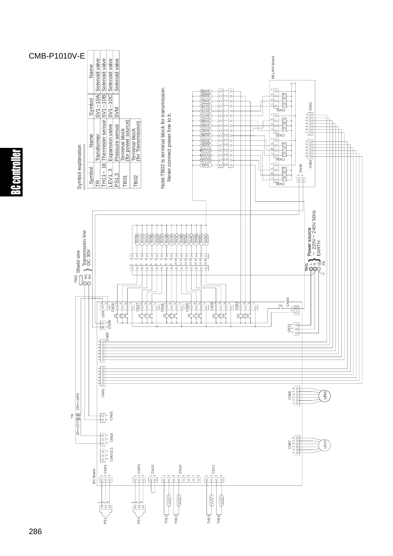

BC controller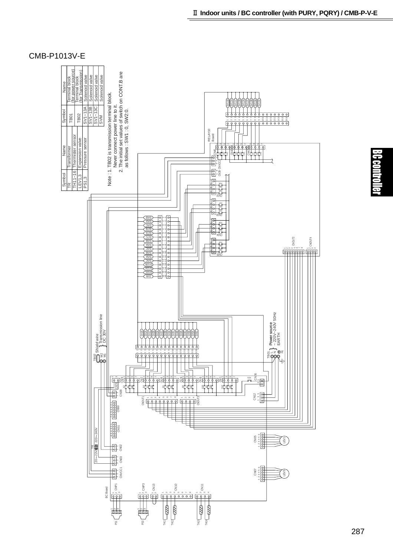

#### CMB-P1013V-E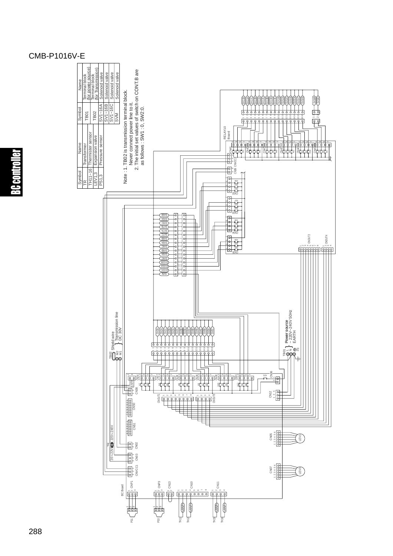#### CMB-P1016V-E

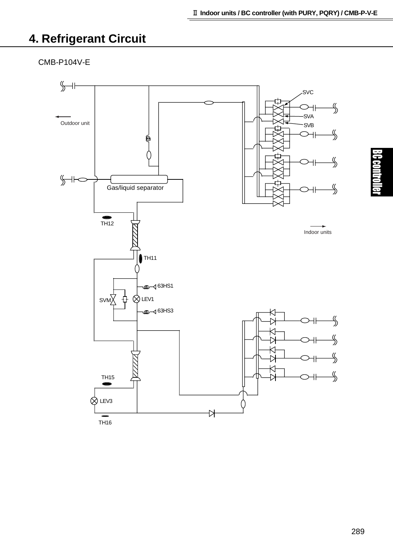## **4. Refrigerant Circuit**

CMB-P104V-E